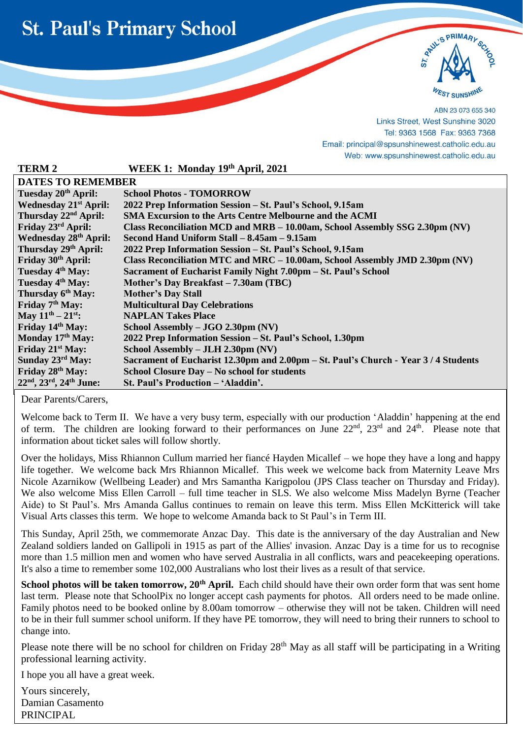



ABN 23 073 655 340 Links Street, West Sunshine 3020 Tel: 9363 1568 Fax: 9363 7368 Email: principal@spsunshinewest.catholic.edu.au Web: www.spsunshinewest.catholic.edu.au

| <b>TERM2</b>                                                 | WEEK 1: Monday 19th April, 2021                                                   |  |  |
|--------------------------------------------------------------|-----------------------------------------------------------------------------------|--|--|
| <b>DATES TO REMEMBER</b>                                     |                                                                                   |  |  |
| Tuesday 20 <sup>th</sup> April:                              | <b>School Photos - TOMORROW</b>                                                   |  |  |
| <b>Wednesday 21st April:</b>                                 | 2022 Prep Information Session – St. Paul's School, 9.15am                         |  |  |
| Thursday 22 <sup>nd</sup> April:                             | <b>SMA Excursion to the Arts Centre Melbourne and the ACMI</b>                    |  |  |
| Friday 23rd April:                                           | Class Reconciliation MCD and MRB – 10.00am, School Assembly SSG 2.30pm (NV)       |  |  |
| <b>Wednesday 28th April:</b>                                 | Second Hand Uniform Stall – 8.45am – 9.15am                                       |  |  |
| Thursday 29 <sup>th</sup> April:                             | 2022 Prep Information Session - St. Paul's School, 9.15am                         |  |  |
| Friday 30 <sup>th</sup> April:                               | Class Reconciliation MTC and MRC $-10.00$ am, School Assembly JMD 2.30pm (NV)     |  |  |
| Tuesday 4 <sup>th</sup> May:                                 | Sacrament of Eucharist Family Night 7.00pm - St. Paul's School                    |  |  |
| Tuesday 4 <sup>th</sup> May:                                 | Mother's Day Breakfast – 7.30am (TBC)                                             |  |  |
| Thursday 6 <sup>th</sup> May:                                | <b>Mother's Day Stall</b>                                                         |  |  |
| Friday 7 <sup>th</sup> May:                                  | <b>Multicultural Day Celebrations</b>                                             |  |  |
| May $11^{th} - 21^{st}$ :                                    | <b>NAPLAN Takes Place</b>                                                         |  |  |
| Friday 14th May:                                             | School Assembly $-$ JGO 2.30pm (NV)                                               |  |  |
| Monday 17th May:                                             | 2022 Prep Information Session – St. Paul's School, 1.30pm                         |  |  |
| Friday 21 <sup>st</sup> May:                                 | School Assembly - JLH 2.30pm (NV)                                                 |  |  |
| Sunday 23rd May:                                             | Sacrament of Eucharist 12.30pm and 2.00pm – St. Paul's Church - Year 3/4 Students |  |  |
| Friday 28 <sup>th</sup> May:                                 | School Closure Day - No school for students                                       |  |  |
| 22 <sup>nd</sup> , 23 <sup>rd</sup> , 24 <sup>th</sup> June: | St. Paul's Production - 'Aladdin'.                                                |  |  |

Dear Parents/Carers,

l

Welcome back to Term II. We have a very busy term, especially with our production 'Aladdin' happening at the end of term. The children are looking forward to their performances on June 22<sup>nd</sup>, 23<sup>rd</sup> and 24<sup>th</sup>. Please note that information about ticket sales will follow shortly.

Over the holidays, Miss Rhiannon Cullum married her fiancé Hayden Micallef – we hope they have a long and happy life together. We welcome back Mrs Rhiannon Micallef. This week we welcome back from Maternity Leave Mrs Nicole Azarnikow (Wellbeing Leader) and Mrs Samantha Karigpolou (JPS Class teacher on Thursday and Friday). We also welcome Miss Ellen Carroll – full time teacher in SLS. We also welcome Miss Madelyn Byrne (Teacher Aide) to St Paul's. Mrs Amanda Gallus continues to remain on leave this term. Miss Ellen McKitterick will take Visual Arts classes this term. We hope to welcome Amanda back to St Paul's in Term III.

This Sunday, April 25th, we commemorate Anzac Day. This date is the anniversary of the day Australian and New Zealand soldiers landed on Gallipoli in 1915 as part of the Allies' invasion. Anzac Day is a time for us to recognise more than 1.5 million men and women who have served Australia in all conflicts, wars and peacekeeping operations. It's also a time to remember some 102,000 Australians who lost their lives as a result of that service.

**School photos will be taken tomorrow, 20th April.** Each child should have their own order form that was sent home last term. Please note that SchoolPix no longer accept cash payments for photos. All orders need to be made online. Family photos need to be booked online by 8.00am tomorrow – otherwise they will not be taken. Children will need to be in their full summer school uniform. If they have PE tomorrow, they will need to bring their runners to school to change into.

Please note there will be no school for children on Friday  $28<sup>th</sup>$  May as all staff will be participating in a Writing professional learning activity.

I hope you all have a great week.

Yours sincerely, Damian Casamento PRINCIPAL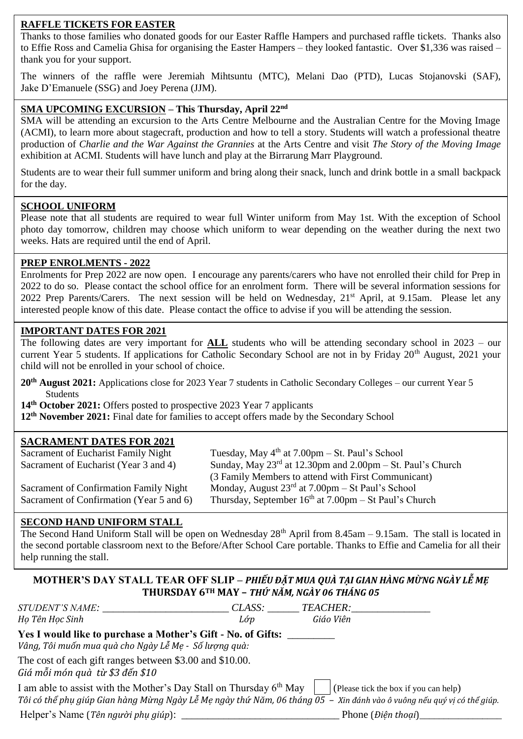## **RAFFLE TICKETS FOR EASTER**

Thanks to those families who donated goods for our Easter Raffle Hampers and purchased raffle tickets. Thanks also to Effie Ross and Camelia Ghisa for organising the Easter Hampers – they looked fantastic. Over \$1,336 was raised – thank you for your support.

The winners of the raffle were Jeremiah Mihtsuntu (MTC), Melani Dao (PTD), Lucas Stojanovski (SAF), Jake D'Emanuele (SSG) and Joey Perena (JJM).

## **SMA UPCOMING EXCURSION – This Thursday, April 22nd**

SMA will be attending an excursion to the Arts Centre Melbourne and the Australian Centre for the Moving Image (ACMI), to learn more about stagecraft, production and how to tell a story. Students will watch a professional theatre production of *Charlie and the War Against the Grannies* at the Arts Centre and visit *The Story of the Moving Image* exhibition at ACMI. Students will have lunch and play at the Birrarung Marr Playground.

Students are to wear their full summer uniform and bring along their snack, lunch and drink bottle in a small backpack for the day.

### **SCHOOL UNIFORM**

Please note that all students are required to wear full Winter uniform from May 1st. With the exception of School photo day tomorrow, children may choose which uniform to wear depending on the weather during the next two weeks. Hats are required until the end of April.

### **PREP ENROLMENTS - 2022**

Enrolments for Prep 2022 are now open. I encourage any parents/carers who have not enrolled their child for Prep in 2022 to do so. Please contact the school office for an enrolment form. There will be several information sessions for 2022 Prep Parents/Carers. The next session will be held on Wednesday,  $21<sup>st</sup>$  April, at 9.15am. Please let any interested people know of this date. Please contact the office to advise if you will be attending the session.

#### $\overline{a}$ **IMPORTANT DATES FOR 2021**

The following dates are very important for **ALL** students who will be attending secondary school in 2023 – our current Year 5 students. If applications for Catholic Secondary School are not in by Friday 20<sup>th</sup> August, 2021 your child will not be enrolled in your school of choice.

**20th August 2021:** Applications close for 2023 Year 7 students in Catholic Secondary Colleges – our current Year 5 Students

**14th October 2021:** Offers posted to prospective 2023 Year 7 applicants

**12th November 2021:** Final date for families to accept offers made by the Secondary School

### **SACRAMENT DATES FOR 2021**

l

| Tuesday, May $4th$ at 7.00pm – St. Paul's School                              |
|-------------------------------------------------------------------------------|
| Sunday, May $23^{\text{rd}}$ at 12.30pm and 2.00pm – St. Paul's Church        |
| (3 Family Members to attend with First Communicant)                           |
| Monday, August $23^{\text{rd}}$ at $7.00 \text{pm} - \text{St Paul's School}$ |
| Thursday, September $16th$ at $7.00$ pm – St Paul's Church                    |
|                                                                               |

### **SECOND HAND UNIFORM STALL**

The Second Hand Uniform Stall will be open on Wednesday  $28<sup>th</sup>$  April from 8.45am – 9.15am. The stall is located in the second portable classroom next to the Before/After School Care portable. Thanks to Effie and Camelia for all their help running the stall.

# **MOTHER'S DAY STALL TEAR OFF SLIP –** *PHIẾU ĐẶT MUA QUÀ TẠI GIAN HÀNG MỪNG NGÀY LỄ MẸ* **THURSDAY 6TH MAY –** *THỨ NĂM, NGÀY 06 THÁNG 05*

| <i>STUDENT'S NAME:</i><br>Họ Tên Học Sinh                                                                                                                                                                 | CLASS:<br>Lớp | <i>TEACHER:</i><br>Giáo Viên |                                       |
|-----------------------------------------------------------------------------------------------------------------------------------------------------------------------------------------------------------|---------------|------------------------------|---------------------------------------|
| Yes I would like to purchase a Mother's Gift - No. of Gifts:<br>Vâng, Tôi muốn mua quà cho Ngày Lễ Mẹ - Số lượng quà:                                                                                     |               |                              |                                       |
| The cost of each gift ranges between \$3.00 and \$10.00.<br>Giá mỗi món quà từ \$3 đến \$10                                                                                                               |               |                              |                                       |
| I am able to assist with the Mother's Day Stall on Thursday 6 <sup>th</sup> May<br>Tôi có thể phụ giúp Gian hàng Mừng Ngày Lễ Mẹ ngày thứ Năm, 06 tháng 05 – Xin đánh vào ô vuông nếu quý vị có thể giúp. |               |                              | (Please tick the box if you can help) |

Helper's Name (*Tên người phụ giúp*): \_\_\_\_\_\_\_\_\_\_\_\_\_\_\_\_\_\_\_\_\_\_\_\_\_\_\_\_\_\_ Phone (*Điện thoại*)\_\_\_\_\_\_\_\_\_\_\_\_\_\_\_\_\_